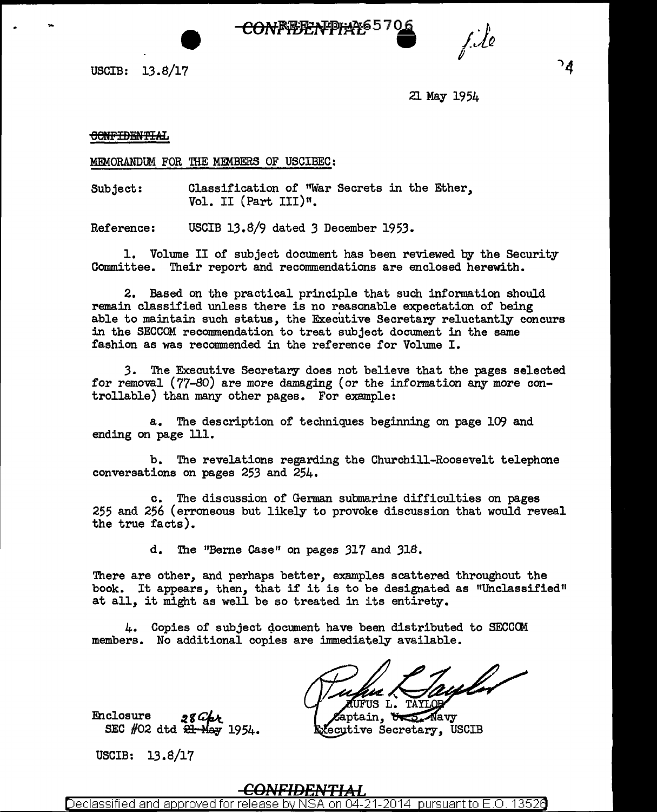



2l May 1954

f.Ao

## CONFIDENTIAL

MEMORANDUM FOR THE MEMBERS OF USCIBEC:

Subject: Classification of "War Secrets in the Ether, Vol. II (Part III)".

Reference: USCIB 13.8/9 dated *3* December 1953.

1. Volume II of subject document has been reviewed by the Security Committee. Their report and recommendations are enclosed herewith.

2. Based on the practical principle that such information should remain classified unless there is no reasonable expectation of being able to maintain such status, the Executive Secretary reluctantly concurs in the SECCOM recommendation to treat subject document in the same fashion as was recommended in the reference for Volume I.

3. The Executive Secretary does not believe that the pages selected for removal (77-80) are more damaging (or the information any more controllable) than many other pages. For example:

a. The description of techniques beginning on page 109 and ending on page 111.

b. The revelations regarding the Churchill-Roosevelt telephone conversations on pages 253 and 254.

c. The discussion of German submarine difficulties on pages 255 and 256 (erroneous but likely to provoke discussion that would reveal the true facts).

d. The "Berne Case" on pages 317 and 318.

There are other, and perhaps better, examples scattered throughout the book. It appears, then, that if it is to be designated as "Unclassified" at all, it might as well be so treated in its entirety.

 $4.$  Copies of subject document have been distributed to SECCOM members. No additional copies are immediately available.

FUS L.

aptain, Und May fecutive Secretary. USCIB

Enclosure SEC  $#02$  dtd  $\overline{21}$ -May 1954.

USCIB: 13.8/17

## <u>CONFIDENTIAL</u>

Declassified and approved for release by N<u>SA on 04-21-2014 pursuant to E.O. 13526</u>